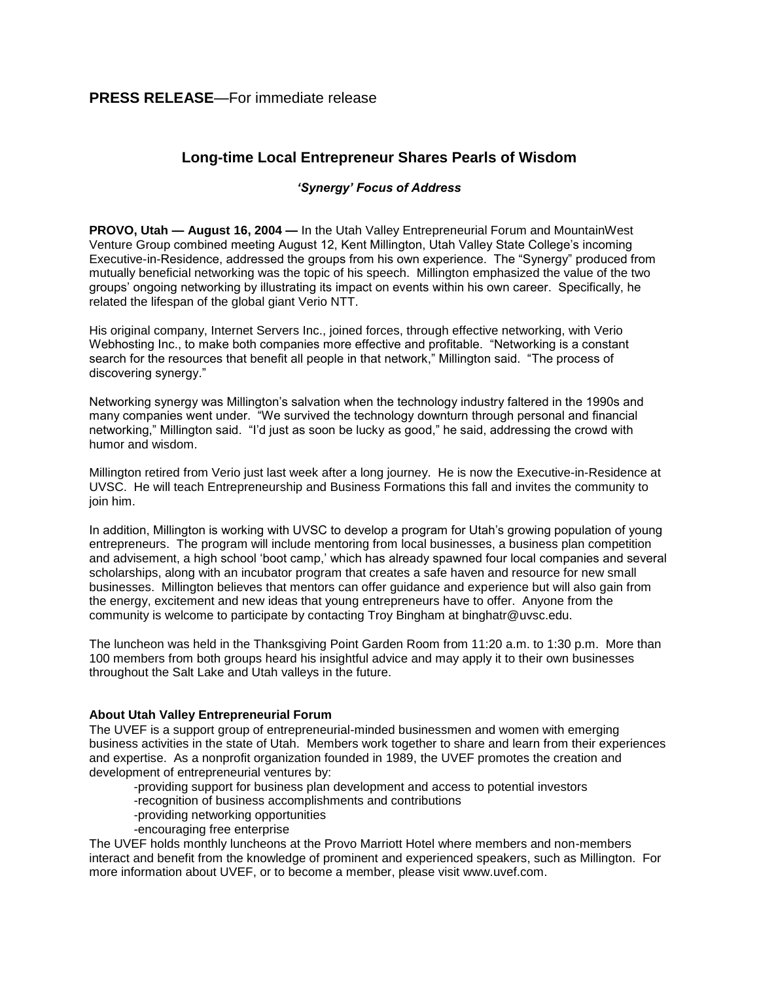## **Long-time Local Entrepreneur Shares Pearls of Wisdom**

## *'Synergy' Focus of Address*

**PROVO, Utah — August 16, 2004 —** In the Utah Valley Entrepreneurial Forum and MountainWest Venture Group combined meeting August 12, Kent Millington, Utah Valley State College's incoming Executive-in-Residence, addressed the groups from his own experience. The "Synergy" produced from mutually beneficial networking was the topic of his speech. Millington emphasized the value of the two groups' ongoing networking by illustrating its impact on events within his own career. Specifically, he related the lifespan of the global giant Verio NTT.

His original company, Internet Servers Inc., joined forces, through effective networking, with Verio Webhosting Inc., to make both companies more effective and profitable. "Networking is a constant search for the resources that benefit all people in that network," Millington said. "The process of discovering synergy."

Networking synergy was Millington's salvation when the technology industry faltered in the 1990s and many companies went under. "We survived the technology downturn through personal and financial networking," Millington said. "I'd just as soon be lucky as good," he said, addressing the crowd with humor and wisdom.

Millington retired from Verio just last week after a long journey. He is now the Executive-in-Residence at UVSC. He will teach Entrepreneurship and Business Formations this fall and invites the community to join him.

In addition, Millington is working with UVSC to develop a program for Utah's growing population of young entrepreneurs. The program will include mentoring from local businesses, a business plan competition and advisement, a high school 'boot camp,' which has already spawned four local companies and several scholarships, along with an incubator program that creates a safe haven and resource for new small businesses. Millington believes that mentors can offer guidance and experience but will also gain from the energy, excitement and new ideas that young entrepreneurs have to offer. Anyone from the community is welcome to participate by contacting Troy Bingham at binghatr@uvsc.edu.

The luncheon was held in the Thanksgiving Point Garden Room from 11:20 a.m. to 1:30 p.m. More than 100 members from both groups heard his insightful advice and may apply it to their own businesses throughout the Salt Lake and Utah valleys in the future.

## **About Utah Valley Entrepreneurial Forum**

The UVEF is a support group of entrepreneurial-minded businessmen and women with emerging business activities in the state of Utah. Members work together to share and learn from their experiences and expertise. As a nonprofit organization founded in 1989, the UVEF promotes the creation and development of entrepreneurial ventures by:

-providing support for business plan development and access to potential investors

- -recognition of business accomplishments and contributions
- -providing networking opportunities
- -encouraging free enterprise

The UVEF holds monthly luncheons at the Provo Marriott Hotel where members and non-members interact and benefit from the knowledge of prominent and experienced speakers, such as Millington. For more information about UVEF, or to become a member, please visit www.uvef.com.